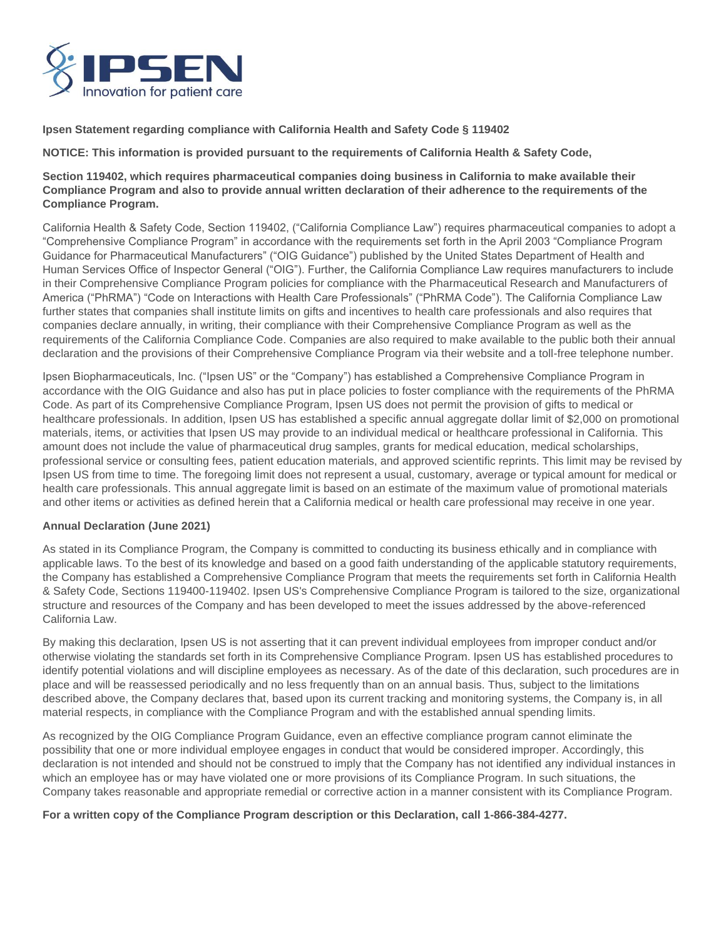

**Ipsen Statement regarding compliance with California Health and Safety Code § 119402** 

**NOTICE: This information is provided pursuant to the requirements of California Health & Safety Code,** 

## **Section 119402, which requires pharmaceutical companies doing business in California to make available their Compliance Program and also to provide annual written declaration of their adherence to the requirements of the Compliance Program.**

California Health & Safety Code, Section 119402, ("California Compliance Law") requires pharmaceutical companies to adopt a "Comprehensive Compliance Program" in accordance with the requirements set forth in the April 2003 "Compliance Program Guidance for Pharmaceutical Manufacturers" ("OIG Guidance") published by the United States Department of Health and Human Services Office of Inspector General ("OIG"). Further, the California Compliance Law requires manufacturers to include in their Comprehensive Compliance Program policies for compliance with the Pharmaceutical Research and Manufacturers of America ("PhRMA") "Code on Interactions with Health Care Professionals" ("PhRMA Code"). The California Compliance Law further states that companies shall institute limits on gifts and incentives to health care professionals and also requires that companies declare annually, in writing, their compliance with their Comprehensive Compliance Program as well as the requirements of the California Compliance Code. Companies are also required to make available to the public both their annual declaration and the provisions of their Comprehensive Compliance Program via their website and a toll-free telephone number.

Ipsen Biopharmaceuticals, Inc. ("Ipsen US" or the "Company") has established a Comprehensive Compliance Program in accordance with the OIG Guidance and also has put in place policies to foster compliance with the requirements of the PhRMA Code. As part of its Comprehensive Compliance Program, Ipsen US does not permit the provision of gifts to medical or healthcare professionals. In addition, Ipsen US has established a specific annual aggregate dollar limit of \$2,000 on promotional materials, items, or activities that Ipsen US may provide to an individual medical or healthcare professional in California. This amount does not include the value of pharmaceutical drug samples, grants for medical education, medical scholarships, professional service or consulting fees, patient education materials, and approved scientific reprints. This limit may be revised by Ipsen US from time to time. The foregoing limit does not represent a usual, customary, average or typical amount for medical or health care professionals. This annual aggregate limit is based on an estimate of the maximum value of promotional materials and other items or activities as defined herein that a California medical or health care professional may receive in one year.

## **Annual Declaration (June 2021)**

As stated in its Compliance Program, the Company is committed to conducting its business ethically and in compliance with applicable laws. To the best of its knowledge and based on a good faith understanding of the applicable statutory requirements, the Company has established a Comprehensive Compliance Program that meets the requirements set forth in California Health & Safety Code, Sections 119400-119402. Ipsen US's Comprehensive Compliance Program is tailored to the size, organizational structure and resources of the Company and has been developed to meet the issues addressed by the above-referenced California Law.

By making this declaration, Ipsen US is not asserting that it can prevent individual employees from improper conduct and/or otherwise violating the standards set forth in its Comprehensive Compliance Program. Ipsen US has established procedures to identify potential violations and will discipline employees as necessary. As of the date of this declaration, such procedures are in place and will be reassessed periodically and no less frequently than on an annual basis. Thus, subject to the limitations described above, the Company declares that, based upon its current tracking and monitoring systems, the Company is, in all material respects, in compliance with the Compliance Program and with the established annual spending limits.

As recognized by the OIG Compliance Program Guidance, even an effective compliance program cannot eliminate the possibility that one or more individual employee engages in conduct that would be considered improper. Accordingly, this declaration is not intended and should not be construed to imply that the Company has not identified any individual instances in which an employee has or may have violated one or more provisions of its Compliance Program. In such situations, the Company takes reasonable and appropriate remedial or corrective action in a manner consistent with its Compliance Program.

**For a written copy of the Compliance Program description or this Declaration, call 1-866-384-4277.**